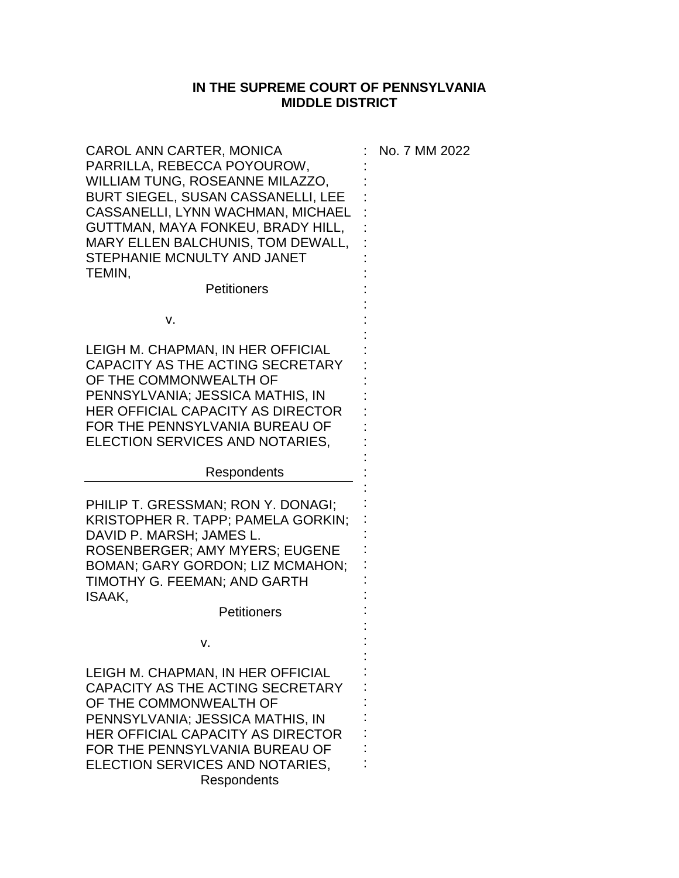## **IN THE SUPREME COURT OF PENNSYLVANIA MIDDLE DISTRICT**

: : : : : : : : : : : : : : : : : : : : :

| CAROL ANN CARTER, MONICA<br>PARRILLA, REBECCA POYOUROW,<br>WILLIAM TUNG, ROSEANNE MILAZZO,<br>BURT SIEGEL, SUSAN CASSANELLI, LEE<br>CASSANELLI, LYNN WACHMAN, MICHAEL<br>GUTTMAN, MAYA FONKEU, BRADY HILL,<br>MARY ELLEN BALCHUNIS, TOM DEWALL,<br>STEPHANIE MCNULTY AND JANET<br>TEMIN,<br>Petitioners | : No. 7 MM 2022 |
|---------------------------------------------------------------------------------------------------------------------------------------------------------------------------------------------------------------------------------------------------------------------------------------------------------|-----------------|
| v.                                                                                                                                                                                                                                                                                                      |                 |
| LEIGH M. CHAPMAN, IN HER OFFICIAL<br>CAPACITY AS THE ACTING SECRETARY<br>OF THE COMMONWEALTH OF<br>PENNSYLVANIA; JESSICA MATHIS, IN<br><b>HER OFFICIAL CAPACITY AS DIRECTOR</b><br>FOR THE PENNSYLVANIA BUREAU OF<br>ELECTION SERVICES AND NOTARIES,                                                    |                 |

Respondents

PHILIP T. GRESSMAN; RON Y. DONAGI; KRISTOPHER R. TAPP; PAMELA GORKIN; DAVID P. MARSH; JAMES L. ROSENBERGER; AMY MYERS; EUGENE BOMAN; GARY GORDON; LIZ MCMAHON; TIMOTHY G. FEEMAN; AND GARTH ISAAK,

**Petitioners** 

v.

LEIGH M. CHAPMAN, IN HER OFFICIAL CAPACITY AS THE ACTING SECRETARY OF THE COMMONWEALTH OF PENNSYLVANIA; JESSICA MATHIS, IN HER OFFICIAL CAPACITY AS DIRECTOR FOR THE PENNSYLVANIA BUREAU OF ELECTION SERVICES AND NOTARIES, **Respondents**